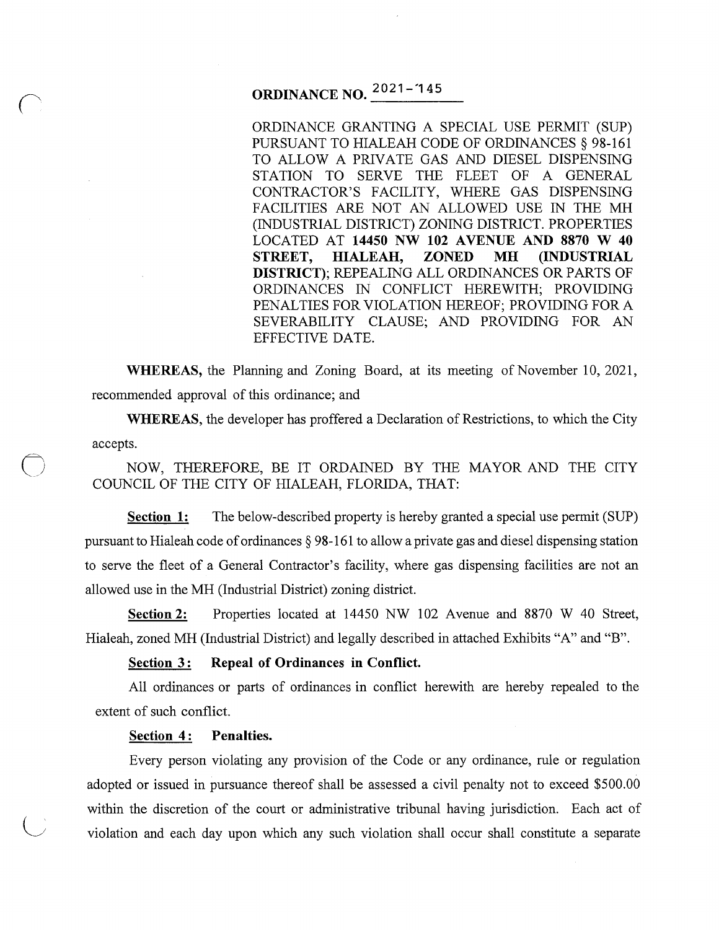# **ORDINANCE NO.**  $2021 - 145$

ORDINANCE GRANTING A SPECIAL USE PERMIT (SUP) PURSUANT TO HIALEAH CODE OF ORDINANCES § 98-161 TO ALLOW A PRIVATE GAS AND DIESEL DISPENSING STATION TO SERVE THE FLEET OF A GENERAL CONTRACTOR'S FACILITY, WHERE GAS DISPENSING FACILITIES ARE NOT AN ALLOWED USE IN THE MH (INDUSTRIAL DISTRICT) ZONING DISTRICT. PROPERTIES LOCATED AT **14450 NW 102 AVENUE AND 8870 W 40 STREET, HIALEAH, ZONED MH (INDUSTRIAL DISTRICT};** REPEALING ALL ORDINANCES OR PARTS OF ORDINANCES IN CONFLICT HEREWITH; PROVIDING PENALTIES FOR VIOLATION HEREOF; PROVIDING FOR A SEVERABILITY CLAUSE; AND PROVIDING FOR AN EFFECTIVE DATE.

**WHEREAS,** the Planning and Zoning Board, at its meeting of November 10, 2021, recommended approval of this ordinance; and

**WHEREAS,** the developer has proffered a Declaration of Restrictions, to which the City accepts.

0 NOW, THEREFORE, BE IT ORDAINED BY THE MAYOR AND THE CITY COUNCIL OF THE CITY OF HIALEAH, FLORIDA, THAT:

**Section 1:** The below-described property is hereby granted a special use permit (SUP) pursuant to Hialeah code of ordinances § 98-161 to allow a private gas and diesel dispensing station to serve the fleet of a General Contractor's facility, where gas dispensing facilities are not an allowed use in the MH (Industrial District) zoning district.

**Section 2:** Properties located at 14450 NW 102 Avenue and 8870 W 40 Street, Hialeah, zoned MH (Industrial District) and legally described in attached Exhibits "A" and "B".

#### **<u>Section 3:</u> Repeal of Ordinances in Conflict.**

All ordinances or parts of ordinances in conflict herewith are hereby repealed to the extent of such conflict.

#### **Section 4: Penalties.**

Every person violating any provision of the Code or any ordinance, rule or regulation adopted or issued in pursuance thereof shall be assessed a civil penalty not to exceed \$500.00 within the discretion of the court or administrative tribunal having jurisdiction. Each act of violation and each day upon which any such violation shall occur shall constitute a separate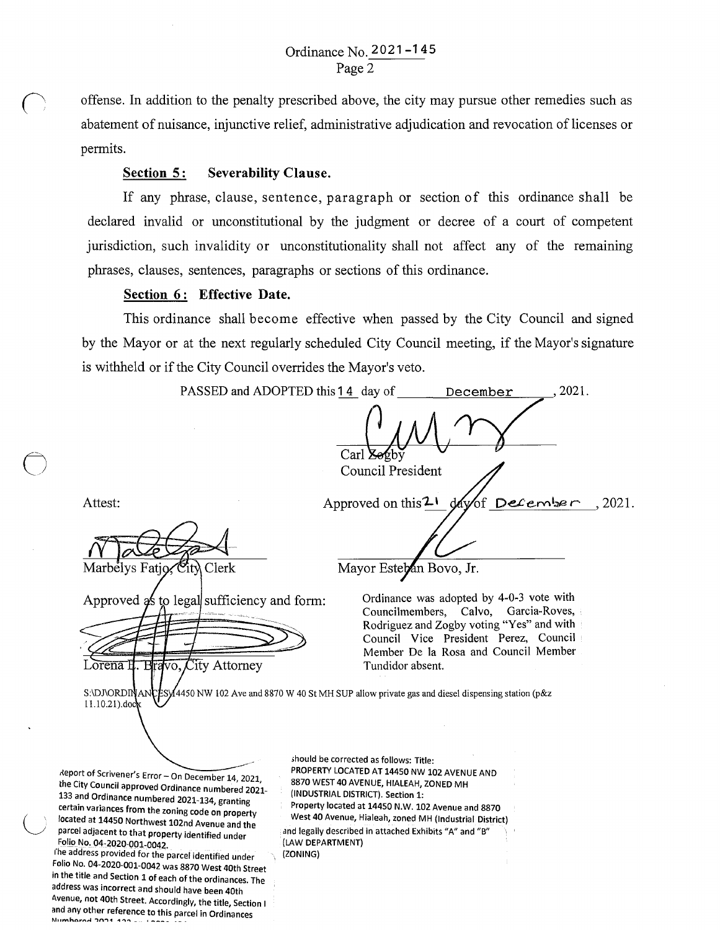r offense. In addition to the penalty prescribed above, the city may pursue other remedies such as abatement of nuisance, injunctive relief, administrative adjudication and revocation of licenses or permits.

### **Section 5: Severability Clause.**

If any phrase, clause, sentence, paragraph or section of this ordinance shall be declared invalid or unconstitutional by the judgment or decree of a court of competent jurisdiction, such invalidity or unconstitutionality shall not affect any of the remaining phrases, clauses, sentences, paragraphs or sections of this ordinance.

## Section 6: Effective Date.

This ordinance shall become effective when passed by the City Council and signed by the Mayor or at the next regularly scheduled City Council meeting, if the Mayor's signature is withheld or if the City Council overrides the Mayor's veto.

PASSED and ADOPTED this 14 day of December , 2021.  $\frac{1}{\text{Carl Zegby}}$ Council President day of December Attest: Approved on this  $2<sup>1</sup>$ 2021. Marbelys Fatjo, City Clerk Mayor Esteban Bovo, Jr. Ordinance was adopted by 4-0-3 vote with Approved as to legal sufficiency and form: Councilmembers, Calvo, Garcia-Roves, Rodriguez and Zogby voting "Yes" and with Council Vice President Perez, Council Member De la Rosa and Council Member Lorena<sup>1</sup> ravo, City Attorney Tundidor absent. S:\DJ\ORDINANCESY4450 NW 102 Ave and 8870 W 40 St MH SUP allow private gas and diesel dispensing station (p&z 11.10.21).doc

deport of Scrivener's Error - On December 14, 2021, the City Council approved Ordinance numbered 2021- 133 and Ordinance numbered 2021-134, granting certain variances from the zoning code on property located at 14450 Northwest 102nd Avenue and the parcel adjacent to that property identified under Folio No. 04~2020-001-0042.

 $\bigcirc$ 

the address provided for the parcel identified under ~olio N~. 04-2020-001-0042 was 8870 West 40th Street m the title and Section 1 of each of the ordinances. The address was incorrect and should have been 40th Avenue, not 40th Street. Accordingly, the title, Section 1 and any other reference to this parcel in Ordinances<br>**Mumbered 2021, 122 av. LOSS** 

;hould be corrected as follows: Title: PROPERTY LOCATED AT 14450 NW 102 AVENUE AND 8870 WEST 40 AVENUE, HIALEAH, ZONED MH (INDUSTRIAL DISTRICT). Section 1:

Property located at 14450 N.W. 102 Avenue and 8870 West 40 Avenue, Hialeah, zoned MH (Industrial District) and legally described in attached Exhibits "A" and "B" (LAW DEPARTMENT)

(ZONING)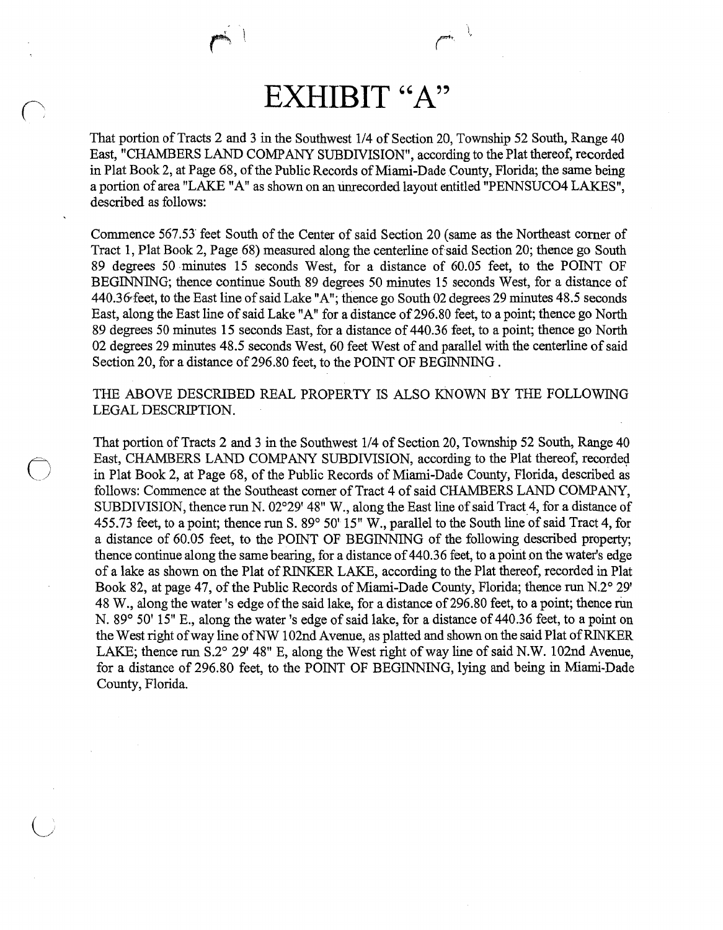# **EXHIBIT "A"**

That portion of Tracts 2 and 3 in the Southwest 1/4 of Section 20, Township 52 South, Range 40 East, "CHAMBERS LAND COMP ANY SUBDIVISION", according to the Plat thereof, recorded in Plat Book 2, at Page 68, of the Public Records of Miami-Dade County, Florida; the same being a portion of area "LAKE "A" as shown on an tinrecorded layout entitled "PENNSUC04 LAKES", described as follows:

Commence 567.5J feet South of the Center of said Section 20 (same as the Northeast corner of Tract 1, Plat Book 2, Page 68) measured along the centerline of said Section 20; thence go South 89 degrees 50 minutes 15 seconds West, for a distance of 60.05 feet, to the POINT OF BEGINNING; thence continue South 89 degrees 50 minutes 15 seconds West, for a distance of 440.36 feet, to the East line of said Lake "A"; thence go South 02 degrees 29 minutes 48.5 seconds East, along the East line of said Lake "A" for a distance of296.80 feet, to a point; thence go North 89 degrees 50 minutes 15 seconds East, for a distance of 440.36 feet, to a point; thence go North 02 degrees 29 minutes 48.5 seconds West, 60 feet West of and parallel with the centerline of said Section 20, for a distance of 296.80 feet, to the POINT OF BEGINNING.

THE ABOVE DESCRIBED REAL PROPERTY IS ALSO KNOWN BY THE FOLLOWING LEGAL DESCRIPTION.

 $\bigcirc$ 

That portion of Tracts 2 and 3 in the Southwest 114 of Section 20, Township 52 South, Range 40 East, CHAMBERS LAND COMPANY SUBDIVISION, according to the Plat thereof, recorded in Plat Book 2, at Page 68, of the Public Records of Miami-Dade County, Florida, described as follows: Commence at the Southeast comer of Tract 4 of said CHAMBERS LAND COMPANY, SUBDIVISION, thence run N. 02°29' 48" W., along the East line of said Tract 4, for a distance of 455.73 feet, to a point; thence run S. 89° 50' 15" W., parallel to the South line of said Tract 4, for a distance of 60.05 feet, to the POINT OF BEGINNING of the following described property; thence continue along the same bearing, for a distance of 440.36 feet, to a poirit on the water's edge of a lake as shown on the Plat of RINKER LAKE, according to the Plat thereof, recorded in Plat Book 82, at page 47, of the Public Records of Miami-Dade County, Florida; thence run N.2° 29' 48 W., along the water's edge of the said lake, for a distance of 296.80 feet, to a point; thence run N. 89° 50' 15" E., along the water's edge of said lake, for a distance of 440.36 feet, to a point on the West right of way line of NW 102nd A venue, as platted and shown on the said Plat of RINKER LAKE; thence run S.2° 29' 48" E, along the West right of way line of said N.W. 102nd Avenue, for a distance of 296.80 feet, to the POINT OF BEGINNING, lying and being in Miami-Dade County, Florida.